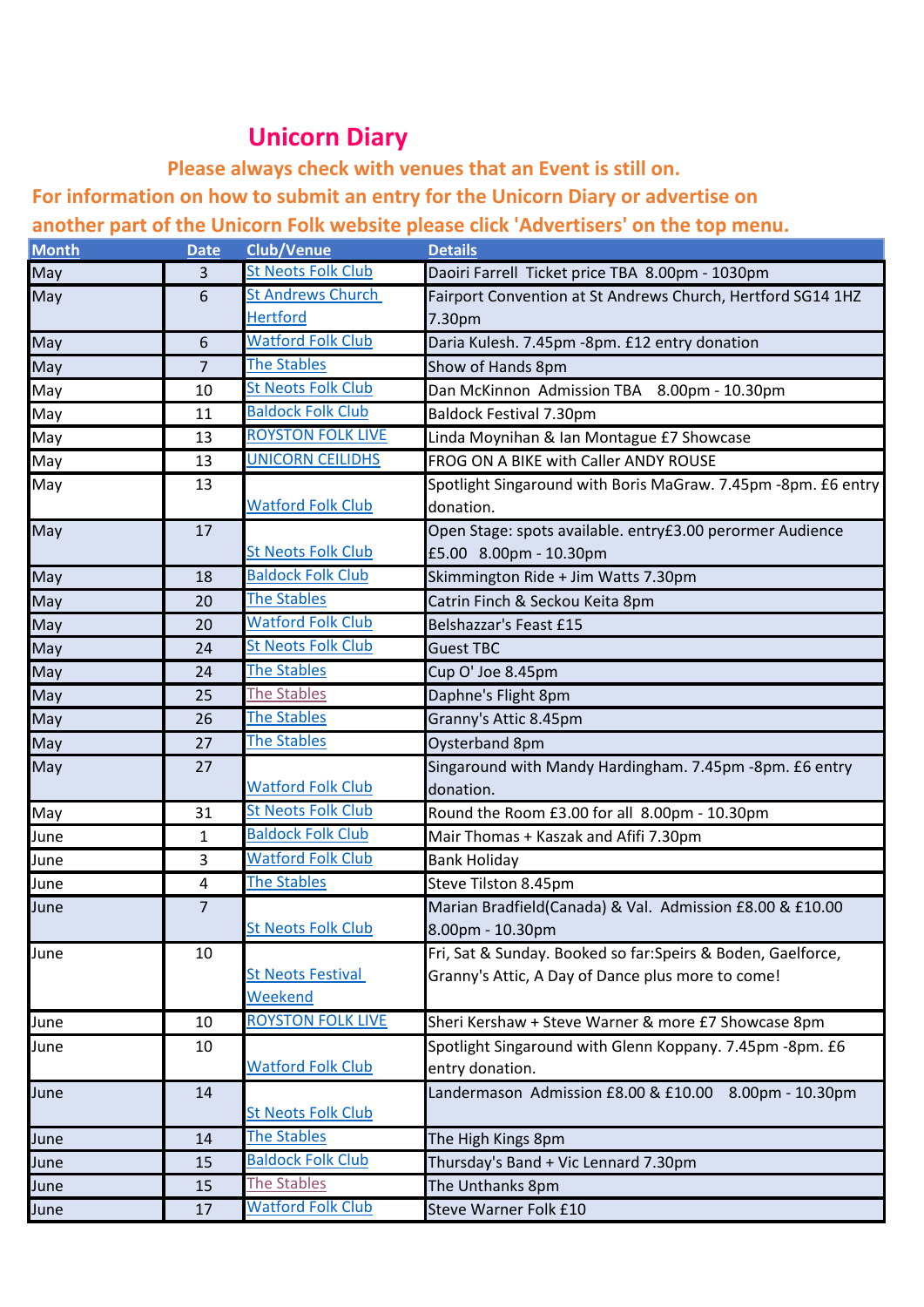## **Unicorn Diary**

**Please always check with venues that an Event is still on.**

**For information on how to submit an entry for the Unicorn Diary or advertise on** 

**another part of the Unicorn Folk website please click 'Advertisers' on the top menu.**

| <b>Month</b> | <b>Date</b> | <b>Club/Venue</b>         | <b>Details</b>                                                |
|--------------|-------------|---------------------------|---------------------------------------------------------------|
| May          | 3           | <b>St Neots Folk Club</b> | Daoiri Farrell Ticket price TBA 8.00pm - 1030pm               |
| May          | 6           | <b>St Andrews Church</b>  | Fairport Convention at St Andrews Church, Hertford SG14 1HZ   |
|              |             | <b>Hertford</b>           | 7.30pm                                                        |
| May          | 6           | <b>Watford Folk Club</b>  | Daria Kulesh. 7.45pm -8pm. £12 entry donation                 |
| May          | 7           | <b>The Stables</b>        | Show of Hands 8pm                                             |
| May          | 10          | <b>St Neots Folk Club</b> | Dan McKinnon Admission TBA 8.00pm - 10.30pm                   |
| May          | 11          | <b>Baldock Folk Club</b>  | <b>Baldock Festival 7.30pm</b>                                |
| May          | 13          | <b>ROYSTON FOLK LIVE</b>  | Linda Moynihan & Ian Montague £7 Showcase                     |
| May          | 13          | <b>UNICORN CEILIDHS</b>   | FROG ON A BIKE with Caller ANDY ROUSE                         |
| May          | 13          |                           | Spotlight Singaround with Boris MaGraw. 7.45pm -8pm. £6 entry |
|              |             | <b>Watford Folk Club</b>  | donation.                                                     |
| May          | 17          |                           | Open Stage: spots available. entry£3.00 perormer Audience     |
|              |             | <b>St Neots Folk Club</b> | £5.00 8.00pm - 10.30pm                                        |
| May          | 18          | <b>Baldock Folk Club</b>  | Skimmington Ride + Jim Watts 7.30pm                           |
| May          | 20          | <b>The Stables</b>        | Catrin Finch & Seckou Keita 8pm                               |
| May          | 20          | <b>Watford Folk Club</b>  | Belshazzar's Feast £15                                        |
| May          | 24          | <b>St Neots Folk Club</b> | <b>Guest TBC</b>                                              |
| May          | 24          | <b>The Stables</b>        | Cup O' Joe 8.45pm                                             |
| May          | 25          | <b>The Stables</b>        | Daphne's Flight 8pm                                           |
| May          | 26          | <b>The Stables</b>        | Granny's Attic 8.45pm                                         |
| May          | 27          | <b>The Stables</b>        | Oysterband 8pm                                                |
| May          | 27          |                           | Singaround with Mandy Hardingham. 7.45pm -8pm. £6 entry       |
|              |             | <b>Watford Folk Club</b>  | donation.                                                     |
| May          | 31          | <b>St Neots Folk Club</b> | Round the Room £3.00 for all 8.00pm - 10.30pm                 |
| June         | 1           | <b>Baldock Folk Club</b>  | Mair Thomas + Kaszak and Afifi 7.30pm                         |
| June         | 3           | <b>Watford Folk Club</b>  | <b>Bank Holiday</b>                                           |
| June         | 4           | <b>The Stables</b>        | Steve Tilston 8.45pm                                          |
| June         | 7           |                           | Marian Bradfield(Canada) & Val. Admission £8.00 & £10.00      |
|              |             | <b>St Neots Folk Club</b> | 8.00pm - 10.30pm                                              |
| June         | 10          |                           | Fri, Sat & Sunday. Booked so far:Speirs & Boden, Gaelforce,   |
|              |             | <b>St Neots Festival</b>  | Granny's Attic, A Day of Dance plus more to come!             |
|              |             | Weekend                   |                                                               |
| June         | 10          | <b>ROYSTON FOLK LIVE</b>  | Sheri Kershaw + Steve Warner & more £7 Showcase 8pm           |
| June         | 10          |                           | Spotlight Singaround with Glenn Koppany. 7.45pm -8pm. £6      |
|              |             | <b>Watford Folk Club</b>  | entry donation.                                               |
| June         | 14          |                           | Landermason Admission £8.00 & £10.00 8.00pm - 10.30pm         |
|              |             | <b>St Neots Folk Club</b> |                                                               |
| June         | 14          | <b>The Stables</b>        | The High Kings 8pm                                            |
| June         | 15          | <b>Baldock Folk Club</b>  | Thursday's Band + Vic Lennard 7.30pm                          |
| June         | 15          | The Stables               | The Unthanks 8pm                                              |
| June         | 17          | <b>Watford Folk Club</b>  | Steve Warner Folk £10                                         |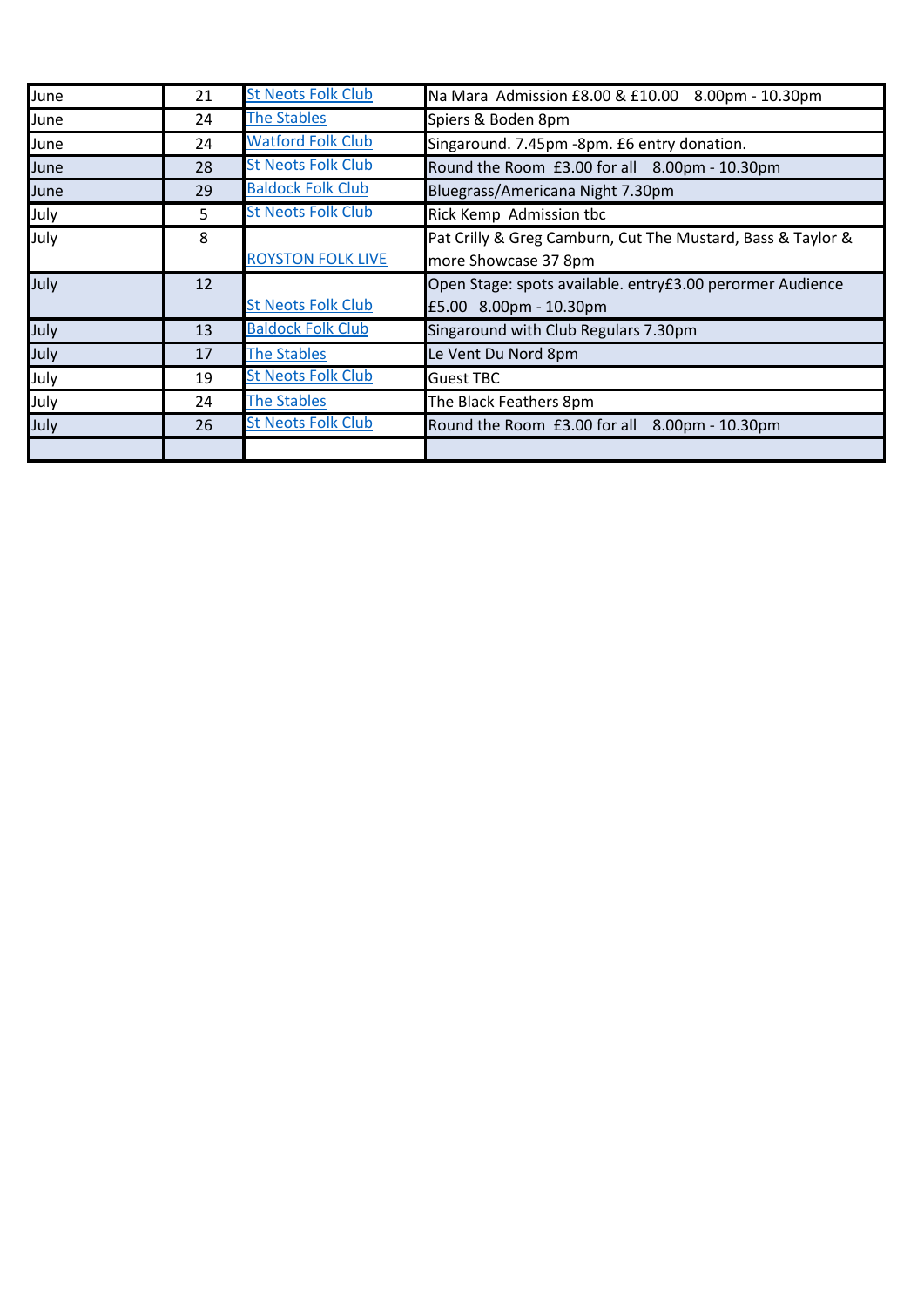| June | 21 | <b>St Neots Folk Club</b> | Na Mara Admission £8.00 & £10.00 8.00pm - 10.30pm           |
|------|----|---------------------------|-------------------------------------------------------------|
| June | 24 | <b>The Stables</b>        | Spiers & Boden 8pm                                          |
| June | 24 | <b>Watford Folk Club</b>  | Singaround. 7.45pm -8pm. £6 entry donation.                 |
| June | 28 | <b>St Neots Folk Club</b> | Round the Room £3.00 for all 8.00pm - 10.30pm               |
| June | 29 | <b>Baldock Folk Club</b>  | Bluegrass/Americana Night 7.30pm                            |
| July | 5  | <b>St Neots Folk Club</b> | Rick Kemp Admission tbc                                     |
| July | 8  |                           | Pat Crilly & Greg Camburn, Cut The Mustard, Bass & Taylor & |
|      |    | <b>ROYSTON FOLK LIVE</b>  | more Showcase 37 8pm                                        |
| July | 12 |                           | Open Stage: spots available. entry£3.00 perormer Audience   |
|      |    | <b>St Neots Folk Club</b> | £5.00 8.00pm - 10.30pm                                      |
| July | 13 | <b>Baldock Folk Club</b>  | Singaround with Club Regulars 7.30pm                        |
| July | 17 | <b>The Stables</b>        | Le Vent Du Nord 8pm                                         |
| July | 19 | <b>St Neots Folk Club</b> | <b>Guest TBC</b>                                            |
| July | 24 | <b>The Stables</b>        | The Black Feathers 8pm                                      |
| July | 26 | <b>St Neots Folk Club</b> | Round the Room £3.00 for all 8.00pm - 10.30pm               |
|      |    |                           |                                                             |